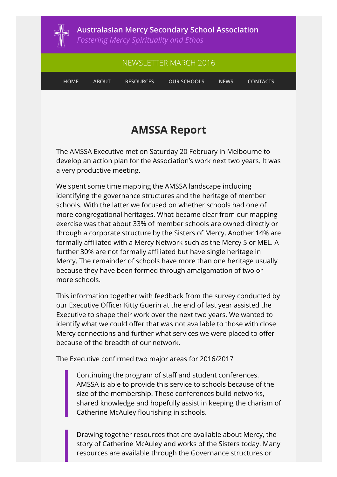

**Australasian Mercy Secondary School Association**

*Fostering Mercy Spirituality and Ethos*

# NEWSLETTER MARCH 2016 **HOME ABOUT RESOURCES OUR SCHOOLS NEWS CONTACTS**

### **AMSSA Report**

The AMSSA Executive met on Saturday 20 February in Melbourne to develop an action plan for the Association's work next two years. It was a very productive meeting.

We spent some time mapping the AMSSA landscape including identifying the governance structures and the heritage of member schools. With the latter we focused on whether schools had one of more congregational heritages. What became clear from our mapping exercise was that about 33% of member schools are owned directly or through a corporate structure by the Sisters of Mercy. Another 14% are formally affiliated with a Mercy Network such as the Mercy 5 or MEL. A further 30% are not formally affiliated but have single heritage in Mercy. The remainder of schools have more than one heritage usually because they have been formed through amalgamation of two or more schools.

This information together with feedback from the survey conducted by our Executive Officer Kitty Guerin at the end of last year assisted the Executive to shape their work over the next two years. We wanted to identify what we could offer that was not available to those with close Mercy connections and further what services we were placed to offer because of the breadth of our network.

The Executive confirmed two major areas for 2016/2017

Continuing the program of staff and student conferences. AMSSA is able to provide this service to schools because of the size of the membership. These conferences build networks, shared knowledge and hopefully assist in keeping the charism of Catherine McAuley flourishing in schools.

Drawing together resources that are available about Mercy, the story of Catherine McAuley and works of the Sisters today. Many resources are available through the Governance structures or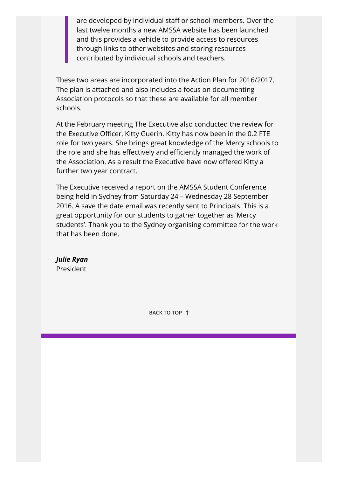are developed by individual staff or school members. Over the last twelve months a new AMSSA website has been launched and this provides a vehicle to provide access to resources through links to other websites and storing resources contributed by individual schools and teachers.

These two areas are incorporated into the Action Plan for 2016/2017. The plan is attached and also includes a focus on documenting Association protocols so that these are available for all member schools.

At the February meeting The Executive also conducted the review for the Executive Officer, Kitty Guerin. Kitty has now been in the 0.2 FTE role for two years. She brings great knowledge of the Mercy schools to the role and she has effectively and efficiently managed the work of the Association. As a result the Executive have now offered Kitty a further two year contract.

The Executive received a report on the AMSSA Student Conference being held in Sydney from Saturday 24 – Wednesday 28 September 2016. A save the date email was recently sent to Principals. This is a great opportunity for our students to gather together as 'Mercy students'. Thank you to the Sydney organising committee for the work that has been done.

*Julie Ryan*  President

**BACK TO TOP**  $\uparrow$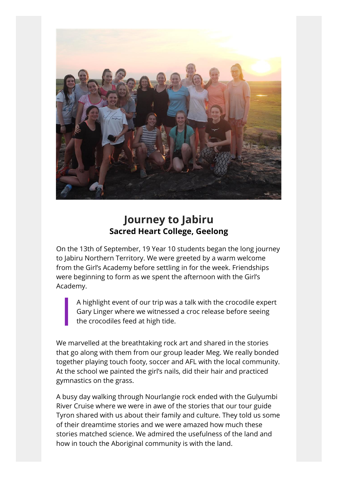

#### **Journey to Jabiru Sacred Heart College, Geelong**

On the 13th of September, 19 Year 10 students began the long journey to Jabiru Northern Territory. We were greeted by a warm welcome from the Girl's Academy before settling in for the week. Friendships were beginning to form as we spent the afternoon with the Girl's Academy.

A highlight event of our trip was a talk with the crocodile expert Gary Linger where we witnessed a croc release before seeing the crocodiles feed at high tide.

We marvelled at the breathtaking rock art and shared in the stories that go along with them from our group leader Meg. We really bonded together playing touch footy, soccer and AFL with the local community. At the school we painted the girl's nails, did their hair and practiced gymnastics on the grass.

A busy day walking through Nourlangie rock ended with the Gulyumbi River Cruise where we were in awe of the stories that our tour guide Tyron shared with us about their family and culture. They told us some of their dreamtime stories and we were amazed how much these stories matched science. We admired the usefulness of the land and how in touch the Aboriginal community is with the land.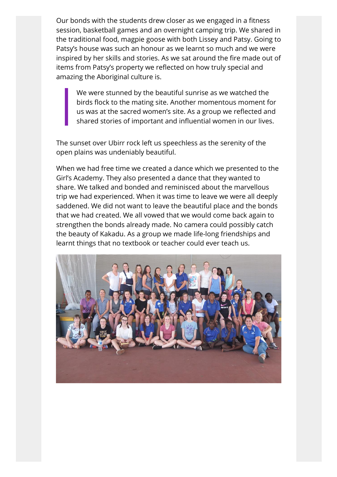Our bonds with the students drew closer as we engaged in a fitness session, basketball games and an overnight camping trip. We shared in the traditional food, magpie goose with both Lissey and Patsy. Going to Patsy's house was such an honour as we learnt so much and we were inspired by her skills and stories. As we sat around the fire made out of items from Patsy's property we reflected on how truly special and amazing the Aboriginal culture is.

We were stunned by the beautiful sunrise as we watched the birds flock to the mating site. Another momentous moment for us was at the sacred women's site. As a group we reflected and shared stories of important and influential women in our lives.

The sunset over Ubirr rock left us speechless as the serenity of the open plains was undeniably beautiful.

When we had free time we created a dance which we presented to the Girl's Academy. They also presented a dance that they wanted to share. We talked and bonded and reminisced about the marvellous trip we had experienced. When it was time to leave we were all deeply saddened. We did not want to leave the beautiful place and the bonds that we had created. We all vowed that we would come back again to strengthen the bonds already made. No camera could possibly catch the beauty of Kakadu. As a group we made life-long friendships and learnt things that no textbook or teacher could ever teach us.

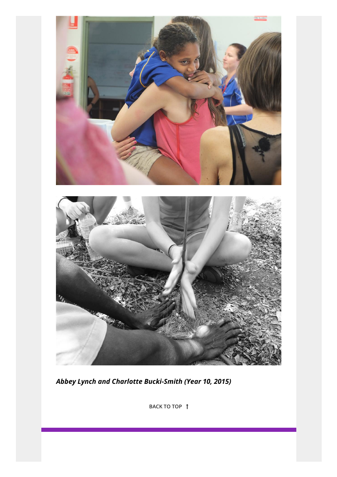

*Abbey Lynch and Charlotte Bucki-Smith (Year 10, 2015)*

**BACK TO TOP**  $\uparrow$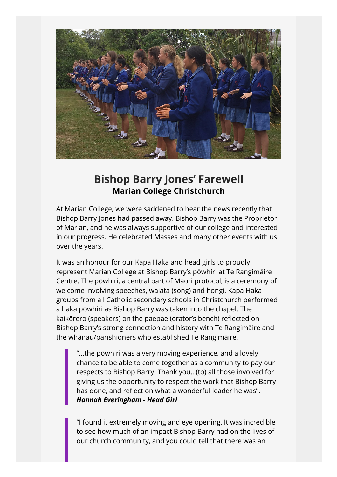

#### **Bishop Barry Jones' Farewell Marian College Christchurch**

At Marian College, we were saddened to hear the news recently that Bishop Barry Jones had passed away. Bishop Barry was the Proprietor of Marian, and he was always supportive of our college and interested in our progress. He celebrated Masses and many other events with us over the years.

It was an honour for our Kapa Haka and head girls to proudly represent Marian College at Bishop Barry's pōwhiri at Te Rangimāire Centre. The pōwhiri, a central part of Māori protocol, is a ceremony of welcome involving speeches, waiata (song) and hongi. Kapa Haka groups from all Catholic secondary schools in Christchurch performed a haka pōwhiri as Bishop Barry was taken into the chapel. The kaikōrero (speakers) on the paepae (orator's bench) reflected on Bishop Barry's strong connection and history with Te Rangimāire and the whānau/parishioners who established Te Rangimāire.

"...the pōwhiri was a very moving experience, and a lovely chance to be able to come together as a community to pay our respects to Bishop Barry. Thank you…(to) all those involved for giving us the opportunity to respect the work that Bishop Barry has done, and reflect on what a wonderful leader he was". *Hannah Everingham - Head Girl*

"I found it extremely moving and eye opening. It was incredible to see how much of an impact Bishop Barry had on the lives of our church community, and you could tell that there was an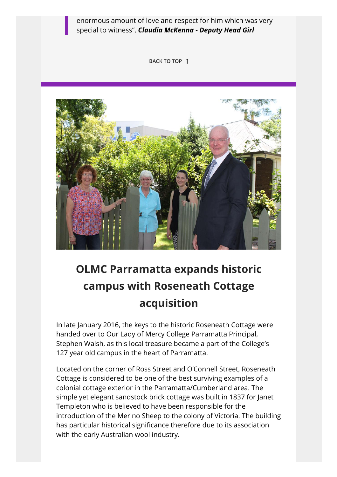enormous amount of love and respect for him which was very special to witness". *Claudia McKenna - Deputy Head Girl*

**BACK TO TOP** ů



## **OLMC Parramatta expands historic campus with Roseneath Cottage acquisition**

In late January 2016, the keys to the historic Roseneath Cottage were handed over to Our Lady of Mercy College Parramatta Principal, Stephen Walsh, as this local treasure became a part of the College's 127 year old campus in the heart of Parramatta.

Located on the corner of Ross Street and O'Connell Street, Roseneath Cottage is considered to be one of the best surviving examples of a colonial cottage exterior in the Parramatta/Cumberland area. The simple yet elegant sandstock brick cottage was built in 1837 for Janet Templeton who is believed to have been responsible for the introduction of the Merino Sheep to the colony of Victoria. The building has particular historical significance therefore due to its association with the early Australian wool industry.